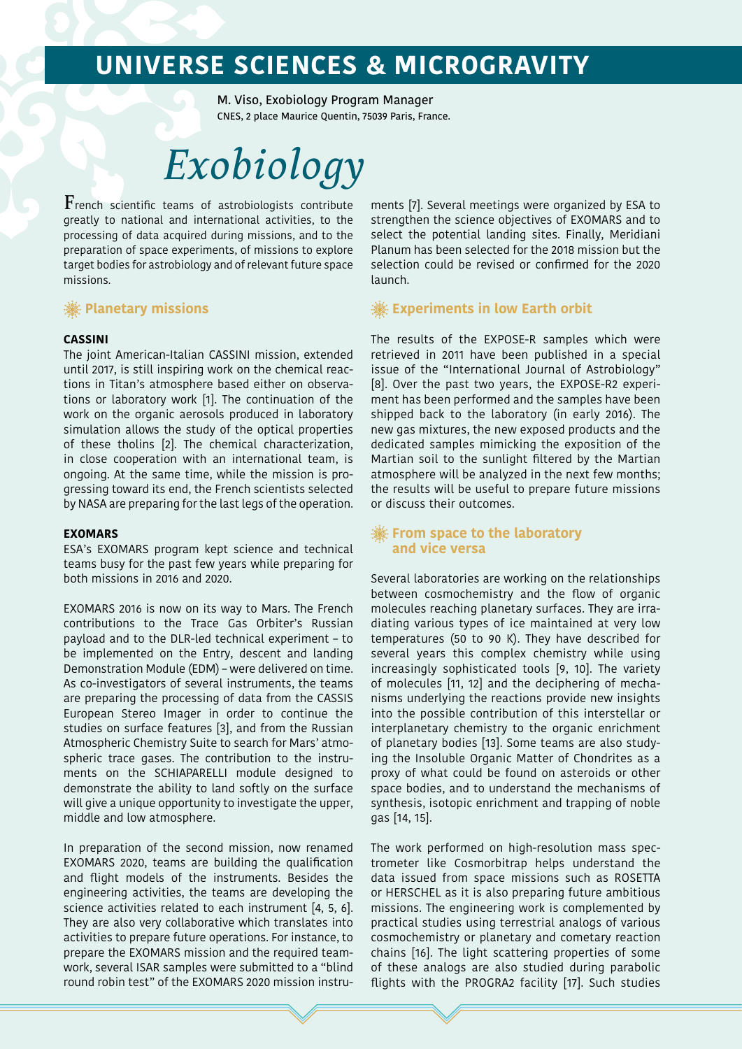# **UNIVERSE SCIENCES & MICROGRAVITY**

M. Viso, Exobiology Program Manager CNES, 2 place Maurice Quentin, 75039 Paris, France.

# *Exobiology*

 $\mathbf F$ rench scientific teams of astrobiologists contribute greatly to national and international activities, to the processing of data acquired during missions, and to the preparation of space experiments, of missions to explore target bodies for astrobiology and of relevant future space missions.

#### **<b>. Planetary missions**

#### **CASSINI**

The joint American-Italian CASSINI mission, extended until 2017, is still inspiring work on the chemical reactions in Titan's atmosphere based either on observations or laboratory work [1]. The continuation of the work on the organic aerosols produced in laboratory simulation allows the study of the optical properties of these tholins [2]. The chemical characterization, in close cooperation with an international team, is ongoing. At the same time, while the mission is progressing toward its end, the French scientists selected by NASA are preparing for the last legs of the operation.

#### **EXOMARS**

ESA's EXOMARS program kept science and technical teams busy for the past few years while preparing for both missions in 2016 and 2020.

EXOMARS 2016 is now on its way to Mars. The French contributions to the Trace Gas Orbiter's Russian payload and to the DLR-led technical experiment – to be implemented on the Entry, descent and landing Demonstration Module (EDM) – were delivered on time. As co-investigators of several instruments, the teams are preparing the processing of data from the CASSIS European Stereo Imager in order to continue the studies on surface features [3], and from the Russian Atmospheric Chemistry Suite to search for Mars' atmospheric trace gases. The contribution to the instruments on the SCHIAPARELLI module designed to demonstrate the ability to land softly on the surface will give a unique opportunity to investigate the upper, middle and low atmosphere.

In preparation of the second mission, now renamed EXOMARS 2020, teams are building the qualification and flight models of the instruments. Besides the engineering activities, the teams are developing the science activities related to each instrument [4, 5, 6]. They are also very collaborative which translates into activities to prepare future operations. For instance, to prepare the EXOMARS mission and the required teamwork, several ISAR samples were submitted to a "blind round robin test" of the EXOMARS 2020 mission instru-

ments [7]. Several meetings were organized by ESA to strengthen the science objectives of EXOMARS and to select the potential landing sites. Finally, Meridiani Planum has been selected for the 2018 mission but the selection could be revised or confirmed for the 2020 launch.

#### *<a>
<b>Experiments in low Earth orbit*

The results of the EXPOSE-R samples which were retrieved in 2011 have been published in a special issue of the "International Journal of Astrobiology" [8]. Over the past two years, the EXPOSE-R2 experiment has been performed and the samples have been shipped back to the laboratory (in early 2016). The new gas mixtures, the new exposed products and the dedicated samples mimicking the exposition of the Martian soil to the sunlight filtered by the Martian atmosphere will be analyzed in the next few months; the results will be useful to prepare future missions or discuss their outcomes.

#### **From space to the laboratory and vice versa**

Several laboratories are working on the relationships between cosmochemistry and the flow of organic molecules reaching planetary surfaces. They are irradiating various types of ice maintained at very low temperatures (50 to 90 K). They have described for several years this complex chemistry while using increasingly sophisticated tools [9, 10]. The variety of molecules [11, 12] and the deciphering of mechanisms underlying the reactions provide new insights into the possible contribution of this interstellar or interplanetary chemistry to the organic enrichment of planetary bodies [13]. Some teams are also studying the Insoluble Organic Matter of Chondrites as a proxy of what could be found on asteroids or other space bodies, and to understand the mechanisms of synthesis, isotopic enrichment and trapping of noble gas [14, 15].

The work performed on high-resolution mass spectrometer like Cosmorbitrap helps understand the data issued from space missions such as ROSETTA or HERSCHEL as it is also preparing future ambitious missions. The engineering work is complemented by practical studies using terrestrial analogs of various cosmochemistry or planetary and cometary reaction chains [16]. The light scattering properties of some of these analogs are also studied during parabolic flights with the PROGRA2 facility [17]. Such studies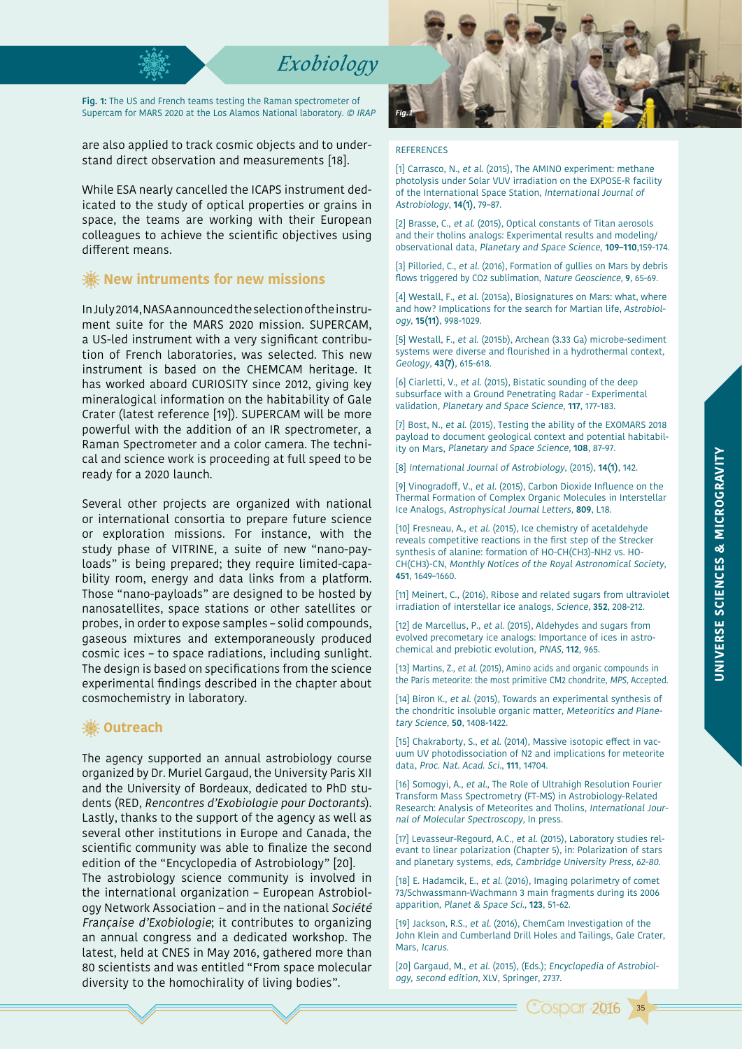### *Exobiology*

**Fig. 1:** The US and French teams testing the Raman spectrometer of Supercam for MARS 2020 at the Los Alamos National laboratory. © IRAP

are also applied to track cosmic objects and to understand direct observation and measurements [18].

While ESA nearly cancelled the ICAPS instrument dedicated to the study of optical properties or grains in space, the teams are working with their European colleagues to achieve the scientific objectives using different means.

#### **<b>※ New intruments for new missions**

In July 2014, NASA announced the selection of the instrument suite for the MARS 2020 mission. SUPERCAM, a US-led instrument with a very significant contribution of French laboratories, was selected. This new instrument is based on the CHEMCAM heritage. It has worked aboard CURIOSITY since 2012, giving key mineralogical information on the habitability of Gale Crater (latest reference [19]). SUPERCAM will be more powerful with the addition of an IR spectrometer, a Raman Spectrometer and a color camera. The technical and science work is proceeding at full speed to be ready for a 2020 launch.

Several other projects are organized with national or international consortia to prepare future science or exploration missions. For instance, with the study phase of VITRINE, a suite of new "nano-payloads" is being prepared; they require limited-capability room, energy and data links from a platform. Those "nano-payloads" are designed to be hosted by nanosatellites, space stations or other satellites or probes, in order to expose samples – solid compounds, gaseous mixtures and extemporaneously produced cosmic ices – to space radiations, including sunlight. The design is based on specifications from the science experimental findings described in the chapter about cosmochemistry in laboratory.

#### **※ Outreach**

The agency supported an annual astrobiology course organized by Dr. Muriel Gargaud, the University Paris XII and the University of Bordeaux, dedicated to PhD students (RED, Rencontres d'Exobiologie pour Doctorants). Lastly, thanks to the support of the agency as well as several other institutions in Europe and Canada, the scientific community was able to finalize the second edition of the "Encyclopedia of Astrobiology" [20]. The astrobiology science community is involved in the international organization – European Astrobiology Network Association – and in the national Société Française d'Exobiologie; it contributes to organizing an annual congress and a dedicated workshop. The latest, held at CNES in May 2016, gathered more than 80 scientists and was entitled "From space molecular diversity to the homochirality of living bodies".



#### REFERENCES

[1] Carrasco, N., et al. (2015), The AMINO experiment: methane photolysis under Solar VUV irradiation on the EXPOSE-R facility of the International Space Station, International Journal of Astrobiology, **14(1)**, 79–87.

[2] Brasse, C., et al. (2015), Optical constants of Titan aerosols and their tholins analogs: Experimental results and modeling/ observational data, Planetary and Space Science, **109–110**,159-174.

[3] Pilloried, C., et al. (2016), Formation of gullies on Mars by debris flows triggered by CO2 sublimation, Nature Geoscience, **9**, 65-69.

[4] Westall, F., et al. (2015a), Biosignatures on Mars: what, where and how? Implications for the search for Martian life, Astrobiology, **15(11)**, 998-1029.

[5] Westall, F., et al. (2015b), Archean (3.33 Ga) microbe-sediment systems were diverse and flourished in a hydrothermal context, Geology, **43(7)**, 615-618.

[6] Ciarletti, V., et al. (2015), Bistatic sounding of the deep subsurface with a Ground Penetrating Radar - Experimental validation, Planetary and Space Science, **117**, 177-183.

[7] Bost, N., et al. (2015), Testing the ability of the EXOMARS 2018 payload to document geological context and potential habitability on Mars, Planetary and Space Science, **108**, 87-97.

[8] International Journal of Astrobiology, (2015), **14(1)**, 142.

[9] Vinogradoff, V., et al. (2015), Carbon Dioxide Influence on the Thermal Formation of Complex Organic Molecules in Interstellar Ice Analogs, Astrophysical Journal Letters, **809**, L18.

[10] Fresneau, A., et al. (2015), Ice chemistry of acetaldehyde reveals competitive reactions in the first step of the Strecker synthesis of alanine: formation of HO-CH(CH3)-NH2 vs. HO-CH(CH3)-CN, Monthly Notices of the Royal Astronomical Society, **451**, 1649–1660.

[11] Meinert, C., (2016), Ribose and related sugars from ultraviolet irradiation of interstellar ice analogs, Science, **352**, 208-212.

[12] de Marcellus, P., et al. (2015), Aldehydes and sugars from evolved precometary ice analogs: Importance of ices in astrochemical and prebiotic evolution, PNAS, **112**, 965.

[13] Martins, Z., et al. (2015), Amino acids and organic compounds in the Paris meteorite: the most primitive CM2 chondrite, MPS, Accepted.

[14] Biron K., et al. (2015), Towards an experimental synthesis of the chondritic insoluble organic matter, Meteoritics and Planetary Science, **50**, 1408-1422.

[15] Chakraborty, S., et al. (2014), Massive isotopic effect in vacuum UV photodissociation of N2 and implications for meteorite data, Proc. Nat. Acad. Sci., **111**, 14704.

[16] Somogyi, A., et al., The Role of Ultrahigh Resolution Fourier Transform Mass Spectrometry (FT-MS) in Astrobiology-Related Research: Analysis of Meteorites and Tholins, International Journal of Molecular Spectroscopy, In press.

[17] Levasseur-Regourd, A.C., et al. (2015), Laboratory studies relevant to linear polarization (Chapter 5), in: Polarization of stars and planetary systems, eds, Cambridge University Press, 62-80.

[18] E. Hadamcik, E., et al. (2016), Imaging polarimetry of comet 73/Schwassmann-Wachmann 3 main fragments during its 2006 apparition, Planet & Space Sci., **123**, 51-62.

[19] Jackson, R.S., et al. (2016), ChemCam Investigation of the John Klein and Cumberland Drill Holes and Tailings, Gale Crater, Mars, Icarus.

[20] Gargaud, M., et al. (2015), (Eds.); Encyclopedia of Astrobiology, second edition, XLV, Springer, 2737.

**Cosper 2016** 

35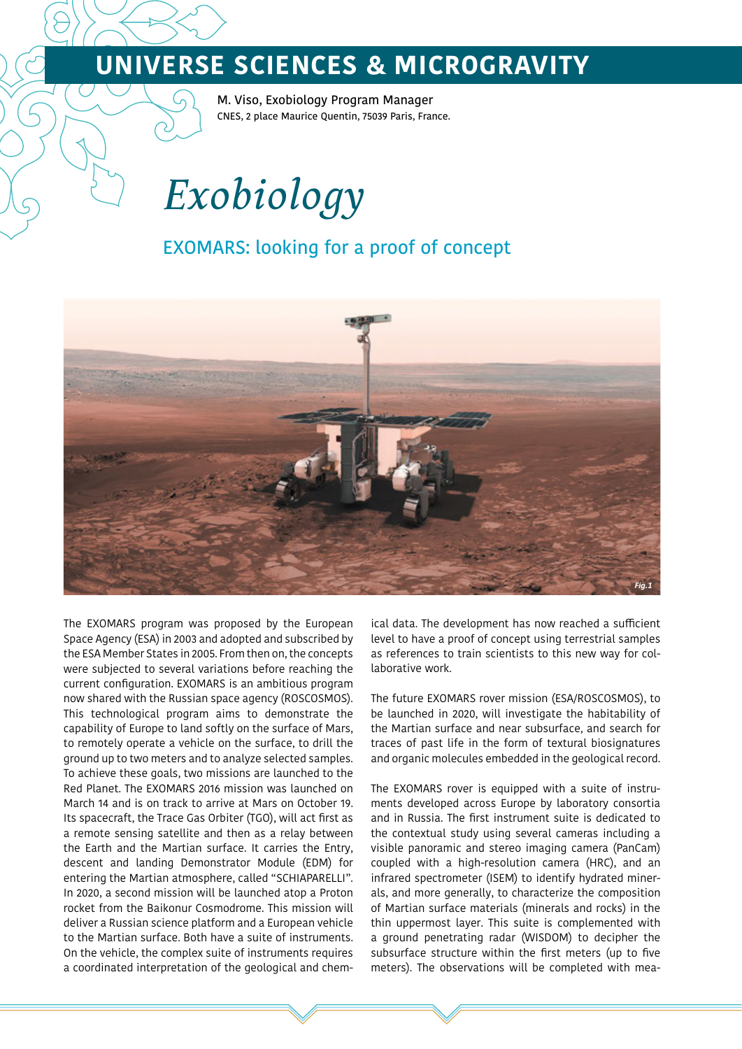# **UNIVERSE SCIENCES & MICROGRAVITY**

M. Viso, Exobiology Program Manager CNES, 2 place Maurice Quentin, 75039 Paris, France.

*Exobiology*

### EXOMARS: looking for a proof of concept



The EXOMARS program was proposed by the European Space Agency (ESA) in 2003 and adopted and subscribed by the ESA Member States in 2005. From then on, the concepts were subjected to several variations before reaching the current configuration. EXOMARS is an ambitious program now shared with the Russian space agency (ROSCOSMOS). This technological program aims to demonstrate the capability of Europe to land softly on the surface of Mars, to remotely operate a vehicle on the surface, to drill the ground up to two meters and to analyze selected samples. To achieve these goals, two missions are launched to the Red Planet. The EXOMARS 2016 mission was launched on March 14 and is on track to arrive at Mars on October 19. Its spacecraft, the Trace Gas Orbiter (TGO), will act first as a remote sensing satellite and then as a relay between the Earth and the Martian surface. It carries the Entry, descent and landing Demonstrator Module (EDM) for entering the Martian atmosphere, called "SCHIAPARELLI". In 2020, a second mission will be launched atop a Proton rocket from the Baikonur Cosmodrome. This mission will deliver a Russian science platform and a European vehicle to the Martian surface. Both have a suite of instruments. On the vehicle, the complex suite of instruments requires a coordinated interpretation of the geological and chemical data. The development has now reached a sufficient level to have a proof of concept using terrestrial samples as references to train scientists to this new way for collaborative work.

The future EXOMARS rover mission (ESA/ROSCOSMOS), to be launched in 2020, will investigate the habitability of the Martian surface and near subsurface, and search for traces of past life in the form of textural biosignatures and organic molecules embedded in the geological record.

The EXOMARS rover is equipped with a suite of instruments developed across Europe by laboratory consortia and in Russia. The first instrument suite is dedicated to the contextual study using several cameras including a visible panoramic and stereo imaging camera (PanCam) coupled with a high-resolution camera (HRC), and an infrared spectrometer (ISEM) to identify hydrated minerals, and more generally, to characterize the composition of Martian surface materials (minerals and rocks) in the thin uppermost layer. This suite is complemented with a ground penetrating radar (WISDOM) to decipher the subsurface structure within the first meters (up to five meters). The observations will be completed with mea-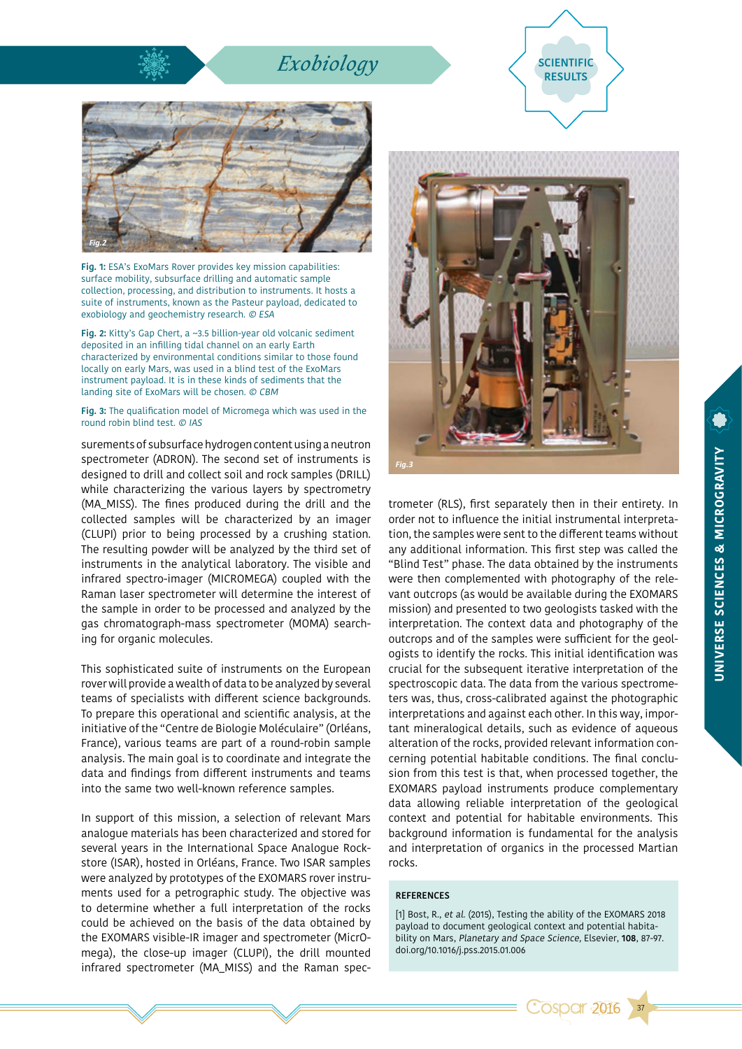## *Exobiology* **SCIENTIFIC**





**Fig. 1:** ESA's ExoMars Rover provides key mission capabilities: surface mobility, subsurface drilling and automatic sample collection, processing, and distribution to instruments. It hosts a suite of instruments, known as the Pasteur payload, dedicated to exobiology and geochemistry research. © ESA

**Fig. 2:** Kitty's Gap Chert, a ~3.5 billion-year old volcanic sediment deposited in an infilling tidal channel on an early Earth characterized by environmental conditions similar to those found locally on early Mars, was used in a blind test of the ExoMars instrument payload. It is in these kinds of sediments that the landing site of ExoMars will be chosen. © CBM

**Fig. 3:** The qualification model of Micromega which was used in the round robin blind test. © IAS

surements of subsurface hydrogen content using a neutron spectrometer (ADRON). The second set of instruments is designed to drill and collect soil and rock samples (DRILL) while characterizing the various layers by spectrometry (MA\_MISS). The fines produced during the drill and the collected samples will be characterized by an imager (CLUPI) prior to being processed by a crushing station. The resulting powder will be analyzed by the third set of instruments in the analytical laboratory. The visible and infrared spectro-imager (MICROMEGA) coupled with the Raman laser spectrometer will determine the interest of the sample in order to be processed and analyzed by the gas chromatograph-mass spectrometer (MOMA) searching for organic molecules.

This sophisticated suite of instruments on the European rover will provide a wealth of data to be analyzed by several teams of specialists with different science backgrounds. To prepare this operational and scientific analysis, at the initiative of the "Centre de Biologie Moléculaire" (Orléans, France), various teams are part of a round-robin sample analysis. The main goal is to coordinate and integrate the data and findings from different instruments and teams into the same two well-known reference samples.

In support of this mission, a selection of relevant Mars analogue materials has been characterized and stored for several years in the International Space Analogue Rockstore (ISAR), hosted in Orléans, France. Two ISAR samples were analyzed by prototypes of the EXOMARS rover instruments used for a petrographic study. The objective was to determine whether a full interpretation of the rocks could be achieved on the basis of the data obtained by the EXOMARS visible-IR imager and spectrometer (MicrOmega), the close-up imager (CLUPI), the drill mounted infrared spectrometer (MA\_MISS) and the Raman spec-



trometer (RLS), first separately then in their entirety. In order not to influence the initial instrumental interpretation, the samples were sent to the different teams without any additional information. This first step was called the "Blind Test" phase. The data obtained by the instruments were then complemented with photography of the relevant outcrops (as would be available during the EXOMARS mission) and presented to two geologists tasked with the interpretation. The context data and photography of the outcrops and of the samples were sufficient for the geologists to identify the rocks. This initial identification was crucial for the subsequent iterative interpretation of the spectroscopic data. The data from the various spectrometers was, thus, cross-calibrated against the photographic interpretations and against each other. In this way, important mineralogical details, such as evidence of aqueous alteration of the rocks, provided relevant information concerning potential habitable conditions. The final conclusion from this test is that, when processed together, the EXOMARS payload instruments produce complementary data allowing reliable interpretation of the geological context and potential for habitable environments. This background information is fundamental for the analysis and interpretation of organics in the processed Martian rocks.

#### **REFERENCES**

[1] Bost, R., et al. (2015), Testing the ability of the EXOMARS 2018 payload to document geological context and potential habitability on Mars, Planetary and Space Science, Elsevier, **108**, 87-97. doi.org/10.1016/j.pss.2015.01.006

**Cospar 2016** 

37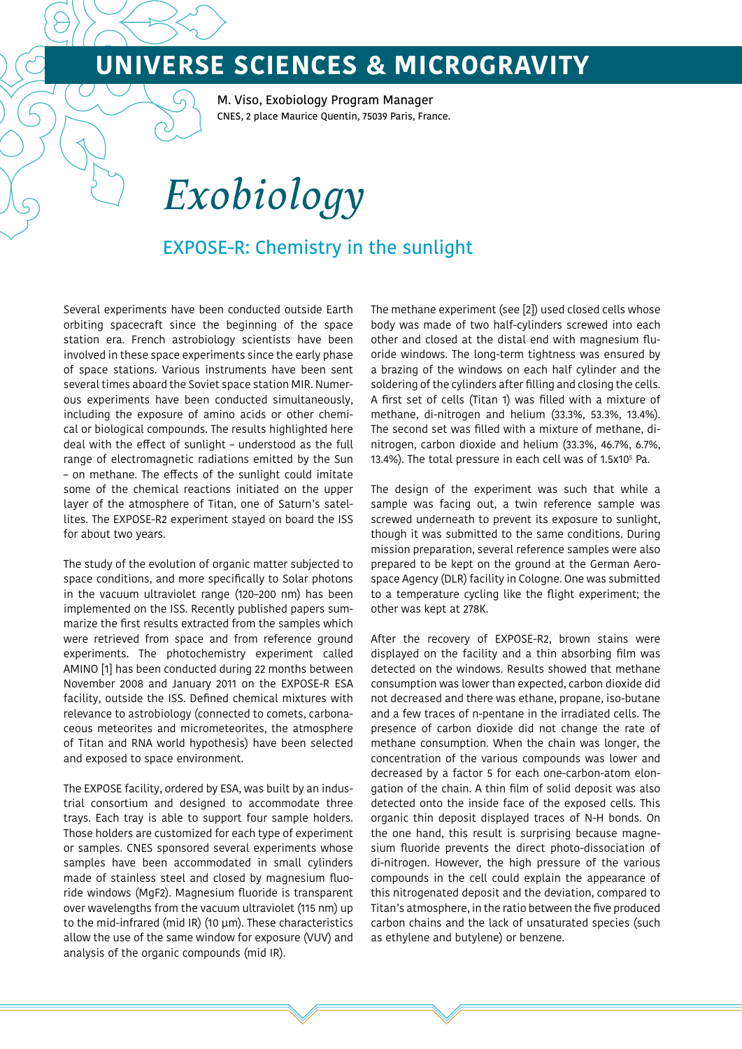# **UNIVERSE SCIENCES & MICROGRAVITY**

M. Viso, Exobiology Program Manager CNES, 2 place Maurice Quentin, 75039 Paris, France.

*Exobiology*

### EXPOSE-R: Chemistry in the sunlight

Several experiments have been conducted outside Earth orbiting spacecraft since the beginning of the space station era. French astrobiology scientists have been involved in these space experiments since the early phase of space stations. Various instruments have been sent several times aboard the Soviet space station MIR. Numerous experiments have been conducted simultaneously, including the exposure of amino acids or other chemical or biological compounds. The results highlighted here deal with the effect of sunlight – understood as the full range of electromagnetic radiations emitted by the Sun – on methane. The effects of the sunlight could imitate some of the chemical reactions initiated on the upper layer of the atmosphere of Titan, one of Saturn's satellites. The EXPOSE-R2 experiment stayed on board the ISS for about two years.

The study of the evolution of organic matter subjected to space conditions, and more specifically to Solar photons in the vacuum ultraviolet range (120–200 nm) has been implemented on the ISS. Recently published papers summarize the first results extracted from the samples which were retrieved from space and from reference ground experiments. The photochemistry experiment called AMINO [1] has been conducted during 22 months between November 2008 and January 2011 on the EXPOSE-R ESA facility, outside the ISS. Defined chemical mixtures with relevance to astrobiology (connected to comets, carbonaceous meteorites and micrometeorites, the atmosphere of Titan and RNA world hypothesis) have been selected and exposed to space environment.

The EXPOSE facility, ordered by ESA, was built by an industrial consortium and designed to accommodate three trays. Each tray is able to support four sample holders. Those holders are customized for each type of experiment or samples. CNES sponsored several experiments whose samples have been accommodated in small cylinders made of stainless steel and closed by magnesium fluoride windows (MgF2). Magnesium fluoride is transparent over wavelengths from the vacuum ultraviolet (115 nm) up to the mid-infrared (mid IR) (10 µm). These characteristics allow the use of the same window for exposure (VUV) and analysis of the organic compounds (mid IR).

The methane experiment (see [2]) used closed cells whose body was made of two half-cylinders screwed into each other and closed at the distal end with magnesium fluoride windows. The long-term tightness was ensured by a brazing of the windows on each half cylinder and the soldering of the cylinders after filling and closing the cells. A first set of cells (Titan 1) was filled with a mixture of methane, di-nitrogen and helium (33.3%, 53.3%, 13.4%). The second set was filled with a mixture of methane, dinitrogen, carbon dioxide and helium (33.3%, 46.7%, 6.7%, 13.4%). The total pressure in each cell was of 1.5x105 Pa.

The design of the experiment was such that while a sample was facing out, a twin reference sample was screwed underneath to prevent its exposure to sunlight, though it was submitted to the same conditions. During mission preparation, several reference samples were also prepared to be kept on the ground at the German Aerospace Agency (DLR) facility in Cologne. One was submitted to a temperature cycling like the flight experiment; the other was kept at 278K.

After the recovery of EXPOSE-R2, brown stains were displayed on the facility and a thin absorbing film was detected on the windows. Results showed that methane consumption was lower than expected, carbon dioxide did not decreased and there was ethane, propane, iso-butane and a few traces of n-pentane in the irradiated cells. The presence of carbon dioxide did not change the rate of methane consumption. When the chain was longer, the concentration of the various compounds was lower and decreased by a factor 5 for each one-carbon-atom elongation of the chain. A thin film of solid deposit was also detected onto the inside face of the exposed cells. This organic thin deposit displayed traces of N-H bonds. On the one hand, this result is surprising because magnesium fluoride prevents the direct photo-dissociation of di-nitrogen. However, the high pressure of the various compounds in the cell could explain the appearance of this nitrogenated deposit and the deviation, compared to Titan's atmosphere, in the ratio between the five produced carbon chains and the lack of unsaturated species (such as ethylene and butylene) or benzene.